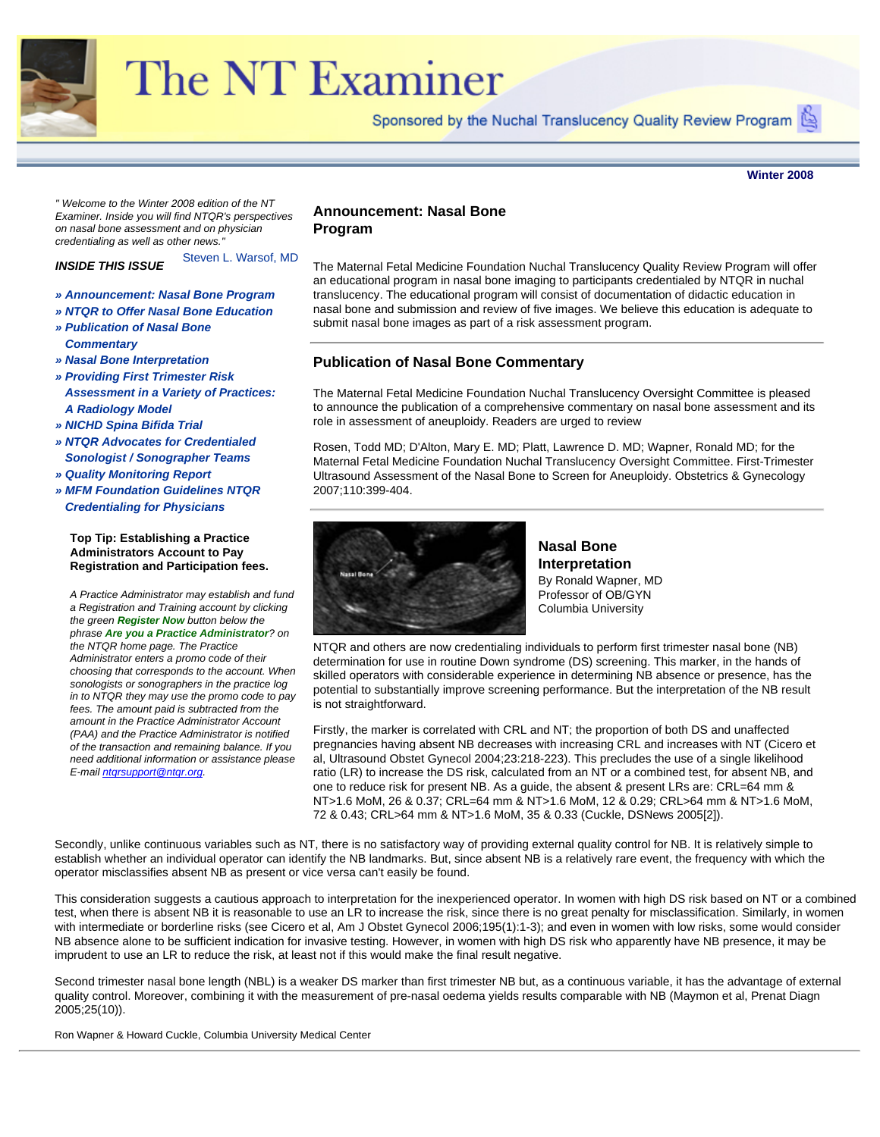<span id="page-0-1"></span>

# The NT Examiner

Sponsored by the Nuchal Translucency Quality Review Program

**Winter 2008**

<span id="page-0-0"></span>*" Welcome to the Winter 2008 edition of the NT Examiner. Inside you will find NTQR's perspectives on nasal bone assessment and on physician credentialing as well as other news."* 

Steven L. Warsof, MD *INSIDE THIS ISSUE*

- *» [Announcement: Nasal Bone Program](#page-0-0)*
- *» [NTQR to Offer Nasal Bone Education](#page-0-1)*
- *» [Publication of Nasal Bone](#page-0-1)  [Commentary](#page-0-1)*
- *» [Nasal Bone Interpretation](#page-0-1)*
- *» [Providing First Trimester Risk](#page-0-1)  [Assessment in a Variety of Practices:](#page-0-1)  [A Radiology Model](#page-0-1)*
- *» [NICHD Spina Bifida Trial](#page-0-1)*
- *» [NTQR Advocates for Credentialed](#page-0-1) [Sonologist / Sonographer Teams](#page-0-1)*
- *» [Quality Monitoring Report](#page-0-1)*
- *» [MFM Foundation Guidelines NTQR](#page-0-1) [Credentialing for Physicians](#page-0-1)*

#### **Top Tip: Establishing a Practice Administrators Account to Pay Registration and Participation fees.**

*A Practice Administrator may establish and fund a Registration and Training account by clicking the green Register Now button below the phrase Are you a Practice Administrator? on the NTQR home page. The Practice Administrator enters a promo code of their choosing that corresponds to the account. When sonologists or sonographers in the practice log in to NTQR they may use the promo code to pay fees. The amount paid is subtracted from the amount in the Practice Administrator Account (PAA) and the Practice Administrator is notified of the transaction and remaining balance. If you need additional information or assistance please E-mail [ntqrsupport@ntqr.org](mailto:ntqrsupport@ntqr.org).*

## **Announcement: Nasal Bone Program**

The Maternal Fetal Medicine Foundation Nuchal Translucency Quality Review Program will offer an educational program in nasal bone imaging to participants credentialed by NTQR in nuchal translucency. The educational program will consist of documentation of didactic education in nasal bone and submission and review of five images. We believe this education is adequate to submit nasal bone images as part of a risk assessment program.

# **Publication of Nasal Bone Commentary**

The Maternal Fetal Medicine Foundation Nuchal Translucency Oversight Committee is pleased to announce the publication of a comprehensive commentary on nasal bone assessment and its role in assessment of aneuploidy. Readers are urged to review

Rosen, Todd MD; D'Alton, Mary E. MD; Platt, Lawrence D. MD; Wapner, Ronald MD; for the Maternal Fetal Medicine Foundation Nuchal Translucency Oversight Committee. First-Trimester Ultrasound Assessment of the Nasal Bone to Screen for Aneuploidy. Obstetrics & Gynecology 2007;110:399-404.



**Nasal Bone Interpretation** By Ronald Wapner, MD Professor of OB/GYN Columbia University

NTQR and others are now credentialing individuals to perform first trimester nasal bone (NB) determination for use in routine Down syndrome (DS) screening. This marker, in the hands of skilled operators with considerable experience in determining NB absence or presence, has the potential to substantially improve screening performance. But the interpretation of the NB result is not straightforward.

Firstly, the marker is correlated with CRL and NT; the proportion of both DS and unaffected pregnancies having absent NB decreases with increasing CRL and increases with NT (Cicero et al, Ultrasound Obstet Gynecol 2004;23:218-223). This precludes the use of a single likelihood ratio (LR) to increase the DS risk, calculated from an NT or a combined test, for absent NB, and one to reduce risk for present NB. As a guide, the absent & present LRs are: CRL=64 mm & NT>1.6 MoM, 26 & 0.37; CRL=64 mm & NT>1.6 MoM, 12 & 0.29; CRL>64 mm & NT>1.6 MoM, 72 & 0.43; CRL>64 mm & NT>1.6 MoM, 35 & 0.33 (Cuckle, DSNews 2005[2]).

Secondly, unlike continuous variables such as NT, there is no satisfactory way of providing external quality control for NB. It is relatively simple to establish whether an individual operator can identify the NB landmarks. But, since absent NB is a relatively rare event, the frequency with which the operator misclassifies absent NB as present or vice versa can't easily be found.

This consideration suggests a cautious approach to interpretation for the inexperienced operator. In women with high DS risk based on NT or a combined test, when there is absent NB it is reasonable to use an LR to increase the risk, since there is no great penalty for misclassification. Similarly, in women with intermediate or borderline risks (see Cicero et al, Am J Obstet Gynecol 2006;195(1):1-3); and even in women with low risks, some would consider NB absence alone to be sufficient indication for invasive testing. However, in women with high DS risk who apparently have NB presence, it may be imprudent to use an LR to reduce the risk, at least not if this would make the final result negative.

Second trimester nasal bone length (NBL) is a weaker DS marker than first trimester NB but, as a continuous variable, it has the advantage of external quality control. Moreover, combining it with the measurement of pre-nasal oedema yields results comparable with NB (Maymon et al, Prenat Diagn 2005;25(10)).

Ron Wapner & Howard Cuckle, Columbia University Medical Center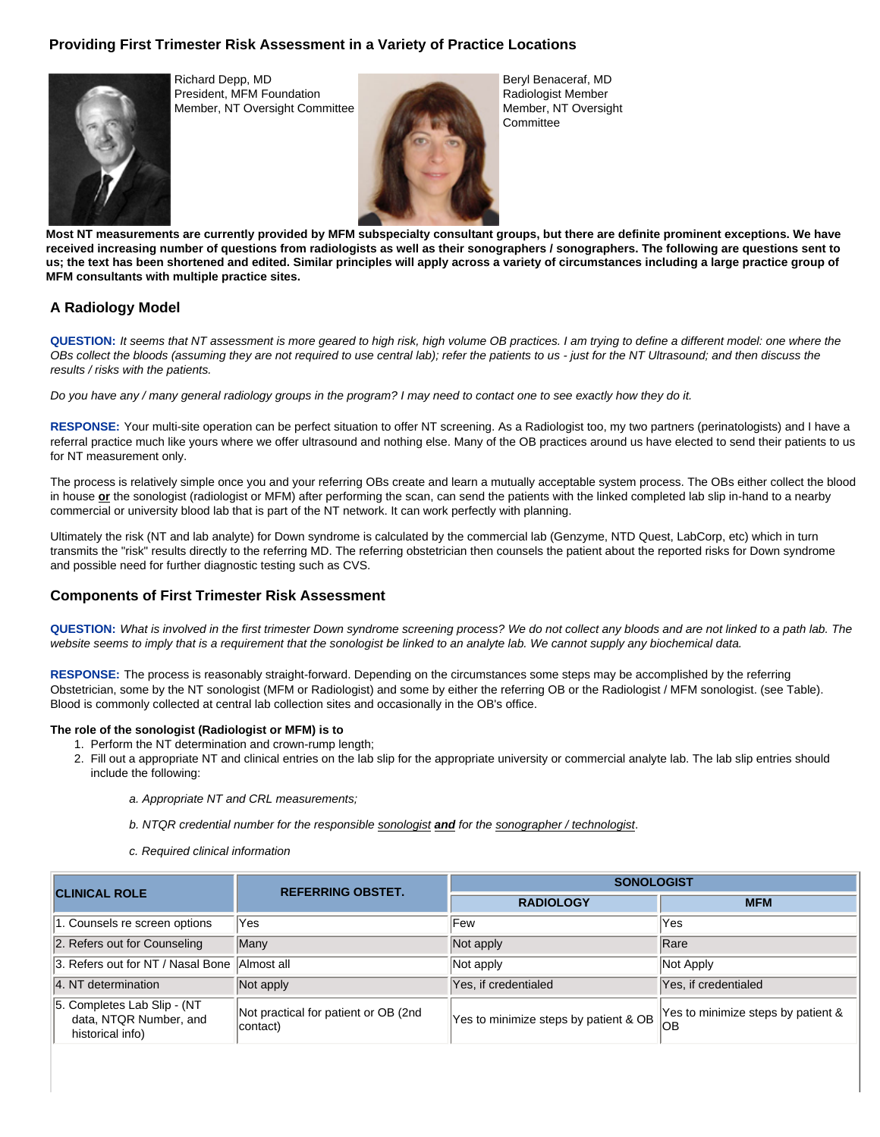# **Providing First Trimester Risk Assessment in a Variety of Practice Locations**



Richard Depp, MD President, MFM Foundation Member, NT Oversight Committee



Beryl Benaceraf, MD Radiologist Member Member, NT Oversight **Committee** 

**Most NT measurements are currently provided by MFM subspecialty consultant groups, but there are definite prominent exceptions. We have received increasing number of questions from radiologists as well as their sonographers / sonographers. The following are questions sent to us; the text has been shortened and edited. Similar principles will apply across a variety of circumstances including a large practice group of MFM consultants with multiple practice sites.** 

# **A Radiology Model**

**QUESTION:** *It seems that NT assessment is more geared to high risk, high volume OB practices. I am trying to define a different model: one where the OBs collect the bloods (assuming they are not required to use central lab); refer the patients to us - just for the NT Ultrasound; and then discuss the results / risks with the patients.* 

*Do you have any / many general radiology groups in the program? I may need to contact one to see exactly how they do it.* 

**RESPONSE:** Your multi-site operation can be perfect situation to offer NT screening. As a Radiologist too, my two partners (perinatologists) and I have a referral practice much like yours where we offer ultrasound and nothing else. Many of the OB practices around us have elected to send their patients to us for NT measurement only.

The process is relatively simple once you and your referring OBs create and learn a mutually acceptable system process. The OBs either collect the blood in house **or** the sonologist (radiologist or MFM) after performing the scan, can send the patients with the linked completed lab slip in-hand to a nearby commercial or university blood lab that is part of the NT network. It can work perfectly with planning.

Ultimately the risk (NT and lab analyte) for Down syndrome is calculated by the commercial lab (Genzyme, NTD Quest, LabCorp, etc) which in turn transmits the "risk" results directly to the referring MD. The referring obstetrician then counsels the patient about the reported risks for Down syndrome and possible need for further diagnostic testing such as CVS.

# **Components of First Trimester Risk Assessment**

**QUESTION:** *What is involved in the first trimester Down syndrome screening process? We do not collect any bloods and are not linked to a path lab. The website seems to imply that is a requirement that the sonologist be linked to an analyte lab. We cannot supply any biochemical data.* 

**RESPONSE:** The process is reasonably straight-forward. Depending on the circumstances some steps may be accomplished by the referring Obstetrician, some by the NT sonologist (MFM or Radiologist) and some by either the referring OB or the Radiologist / MFM sonologist. (see Table). Blood is commonly collected at central lab collection sites and occasionally in the OB's office.

## **The role of the sonologist (Radiologist or MFM) is to**

- 1. Perform the NT determination and crown-rump length;
- 2. Fill out a appropriate NT and clinical entries on the lab slip for the appropriate university or commercial analyte lab. The lab slip entries should include the following:
	- *a. Appropriate NT and CRL measurements;*
	- *b. NTQR credential number for the responsible sonologist and for the sonographer / technologist*.
	- *c. Required clinical information*

| <b>CLINICAL ROLE</b>                                                      | <b>REFERRING OBSTET.</b>                          | <b>SONOLOGIST</b>                     |                                                  |
|---------------------------------------------------------------------------|---------------------------------------------------|---------------------------------------|--------------------------------------------------|
|                                                                           |                                                   | <b>RADIOLOGY</b>                      | <b>MFM</b>                                       |
| 1. Counsels re screen options                                             | Yes                                               | <b>Few</b>                            | Yes                                              |
| 2. Refers out for Counseling                                              | Many                                              | Not apply                             | Rare                                             |
| 3. Refers out for NT / Nasal Bone                                         | Almost all                                        | Not apply                             | Not Apply                                        |
| 4. NT determination                                                       | Not apply                                         | Yes, if credentialed                  | Yes, if credentialed                             |
| 5. Completes Lab Slip - (NT<br>data, NTQR Number, and<br>historical info) | Not practical for patient or OB (2nd)<br>contact) | Yes to minimize steps by patient & OB | Yes to minimize steps by patient &<br><b>IOB</b> |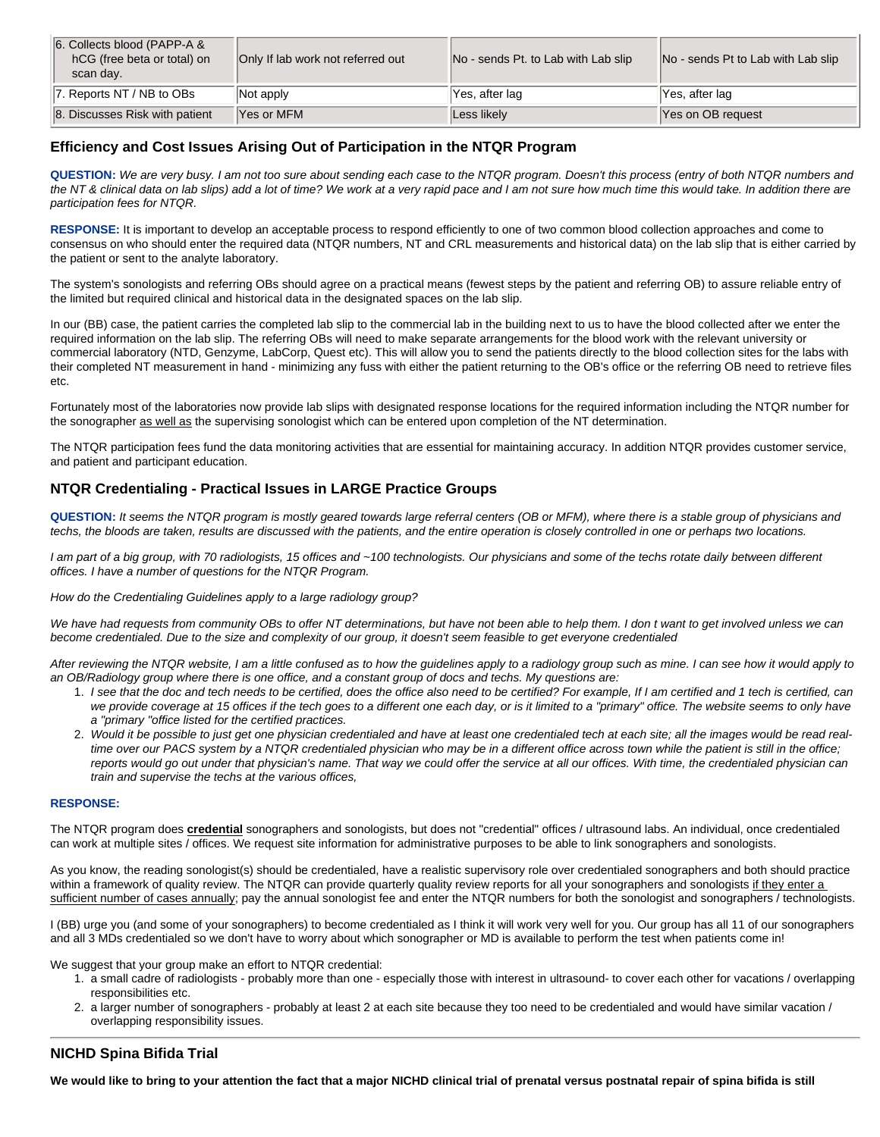| 6. Collects blood (PAPP-A &<br>hCG (free beta or total) on<br>scan day. | Only If lab work not referred out | No - sends Pt. to Lab with Lab slip | No - sends Pt to Lab with Lab slip |
|-------------------------------------------------------------------------|-----------------------------------|-------------------------------------|------------------------------------|
| 7. Reports NT / NB to OBs                                               | Not apply                         | Yes, after lag                      | Yes, after lag                     |
| 8. Discusses Risk with patient                                          | Yes or MFM                        | Less likelv                         | Yes on OB request                  |

# **Efficiency and Cost Issues Arising Out of Participation in the NTQR Program**

**QUESTION:** *We are very busy. I am not too sure about sending each case to the NTQR program. Doesn't this process (entry of both NTQR numbers and the NT & clinical data on lab slips) add a lot of time? We work at a very rapid pace and I am not sure how much time this would take. In addition there are participation fees for NTQR.* 

**RESPONSE:** It is important to develop an acceptable process to respond efficiently to one of two common blood collection approaches and come to consensus on who should enter the required data (NTQR numbers, NT and CRL measurements and historical data) on the lab slip that is either carried by the patient or sent to the analyte laboratory.

The system's sonologists and referring OBs should agree on a practical means (fewest steps by the patient and referring OB) to assure reliable entry of the limited but required clinical and historical data in the designated spaces on the lab slip.

In our (BB) case, the patient carries the completed lab slip to the commercial lab in the building next to us to have the blood collected after we enter the required information on the lab slip. The referring OBs will need to make separate arrangements for the blood work with the relevant university or commercial laboratory (NTD, Genzyme, LabCorp, Quest etc). This will allow you to send the patients directly to the blood collection sites for the labs with their completed NT measurement in hand - minimizing any fuss with either the patient returning to the OB's office or the referring OB need to retrieve files etc.

Fortunately most of the laboratories now provide lab slips with designated response locations for the required information including the NTQR number for the sonographer as well as the supervising sonologist which can be entered upon completion of the NT determination.

The NTQR participation fees fund the data monitoring activities that are essential for maintaining accuracy. In addition NTQR provides customer service, and patient and participant education.

# **NTQR Credentialing - Practical Issues in LARGE Practice Groups**

**QUESTION:** *It seems the NTQR program is mostly geared towards large referral centers (OB or MFM), where there is a stable group of physicians and techs, the bloods are taken, results are discussed with the patients, and the entire operation is closely controlled in one or perhaps two locations.* 

*I am part of a big group, with 70 radiologists, 15 offices and ~100 technologists. Our physicians and some of the techs rotate daily between different offices. I have a number of questions for the NTQR Program.* 

*How do the Credentialing Guidelines apply to a large radiology group?* 

*We have had requests from community OBs to offer NT determinations, but have not been able to help them. I don t want to get involved unless we can become credentialed. Due to the size and complexity of our group, it doesn't seem feasible to get everyone credentialed* 

After reviewing the NTQR website, I am a little confused as to how the quidelines apply to a radiology group such as mine. I can see how it would apply to *an OB/Radiology group where there is one office, and a constant group of docs and techs. My questions are:* 

- 1. *I see that the doc and tech needs to be certified, does the office also need to be certified? For example, If I am certified and 1 tech is certified, can we provide coverage at 15 offices if the tech goes to a different one each day, or is it limited to a "primary" office. The website seems to only have a "primary "office listed for the certified practices.*
- 2. *Would it be possible to just get one physician credentialed and have at least one credentialed tech at each site; all the images would be read realtime over our PACS system by a NTQR credentialed physician who may be in a different office across town while the patient is still in the office;*  reports would go out under that physician's name. That way we could offer the service at all our offices. With time, the credentialed physician can *train and supervise the techs at the various offices,*

#### **RESPONSE:**

The NTQR program does **credential** sonographers and sonologists, but does not "credential" offices / ultrasound labs. An individual, once credentialed can work at multiple sites / offices. We request site information for administrative purposes to be able to link sonographers and sonologists.

As you know, the reading sonologist(s) should be credentialed, have a realistic supervisory role over credentialed sonographers and both should practice within a framework of quality review. The NTQR can provide quarterly quality review reports for all your sonographers and sonologists if they enter a sufficient number of cases annually; pay the annual sonologist fee and enter the NTQR numbers for both the sonologist and sonographers / technologists.

I (BB) urge you (and some of your sonographers) to become credentialed as I think it will work very well for you. Our group has all 11 of our sonographers and all 3 MDs credentialed so we don't have to worry about which sonographer or MD is available to perform the test when patients come in!

We suggest that your group make an effort to NTQR credential:

- 1. a small cadre of radiologists probably more than one especially those with interest in ultrasound- to cover each other for vacations / overlapping responsibilities etc.
- 2. a larger number of sonographers probably at least 2 at each site because they too need to be credentialed and would have similar vacation / overlapping responsibility issues.

# **NICHD Spina Bifida Trial**

We would like to bring to your attention the fact that a major NICHD clinical trial of prenatal versus postnatal repair of spina bifida is still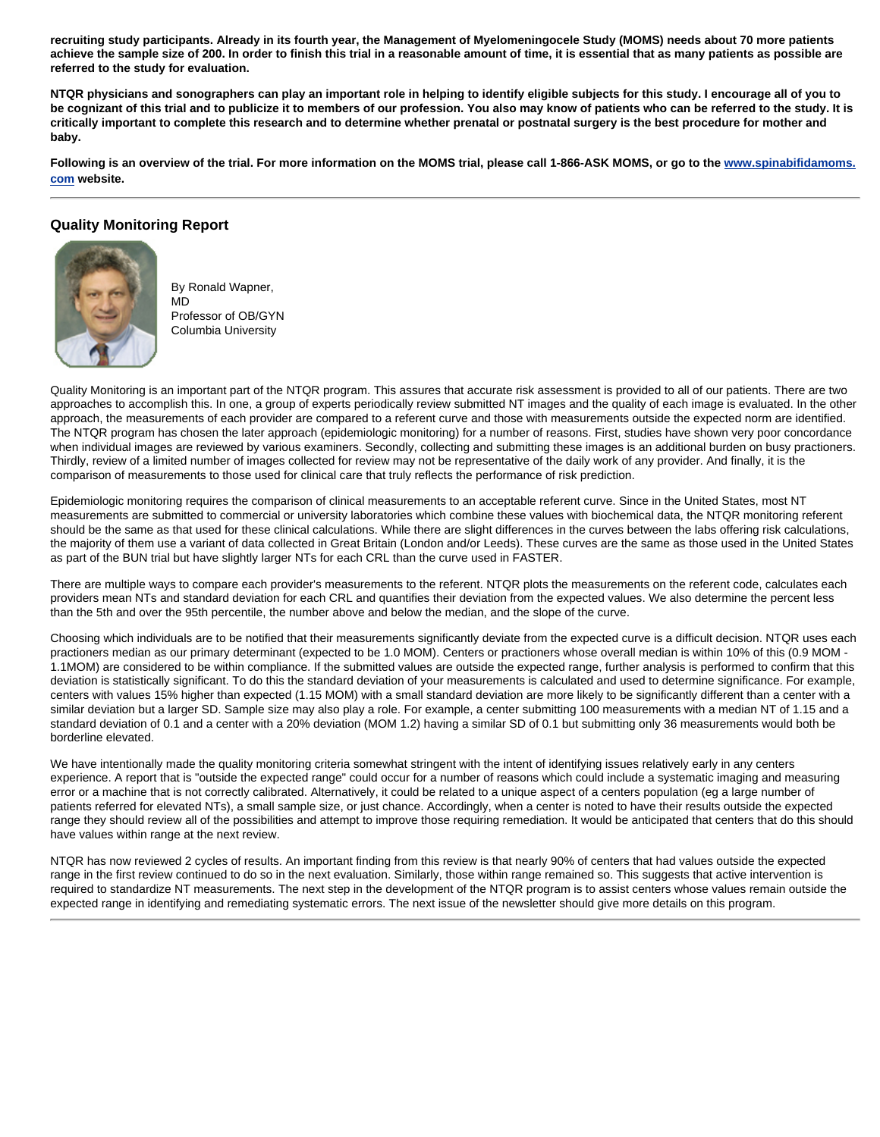**recruiting study participants. Already in its fourth year, the Management of Myelomeningocele Study (MOMS) needs about 70 more patients achieve the sample size of 200. In order to finish this trial in a reasonable amount of time, it is essential that as many patients as possible are referred to the study for evaluation.** 

**NTQR physicians and sonographers can play an important role in helping to identify eligible subjects for this study. I encourage all of you to be cognizant of this trial and to publicize it to members of our profession. You also may know of patients who can be referred to the study. It is critically important to complete this research and to determine whether prenatal or postnatal surgery is the best procedure for mother and baby.** 

**Following is an overview of the trial. For more information on the MOMS trial, please call 1-866-ASK MOMS, or go to the [www.spinabifidamoms.](http://www.spinabifidamoms.com/) [com](http://www.spinabifidamoms.com/) website.** 

# **Quality Monitoring Report**



By Ronald Wapner, MD Professor of OB/GYN Columbia University

Quality Monitoring is an important part of the NTQR program. This assures that accurate risk assessment is provided to all of our patients. There are two approaches to accomplish this. In one, a group of experts periodically review submitted NT images and the quality of each image is evaluated. In the other approach, the measurements of each provider are compared to a referent curve and those with measurements outside the expected norm are identified. The NTQR program has chosen the later approach (epidemiologic monitoring) for a number of reasons. First, studies have shown very poor concordance when individual images are reviewed by various examiners. Secondly, collecting and submitting these images is an additional burden on busy practioners. Thirdly, review of a limited number of images collected for review may not be representative of the daily work of any provider. And finally, it is the comparison of measurements to those used for clinical care that truly reflects the performance of risk prediction.

Epidemiologic monitoring requires the comparison of clinical measurements to an acceptable referent curve. Since in the United States, most NT measurements are submitted to commercial or university laboratories which combine these values with biochemical data, the NTQR monitoring referent should be the same as that used for these clinical calculations. While there are slight differences in the curves between the labs offering risk calculations, the majority of them use a variant of data collected in Great Britain (London and/or Leeds). These curves are the same as those used in the United States as part of the BUN trial but have slightly larger NTs for each CRL than the curve used in FASTER.

There are multiple ways to compare each provider's measurements to the referent. NTQR plots the measurements on the referent code, calculates each providers mean NTs and standard deviation for each CRL and quantifies their deviation from the expected values. We also determine the percent less than the 5th and over the 95th percentile, the number above and below the median, and the slope of the curve.

Choosing which individuals are to be notified that their measurements significantly deviate from the expected curve is a difficult decision. NTQR uses each practioners median as our primary determinant (expected to be 1.0 MOM). Centers or practioners whose overall median is within 10% of this (0.9 MOM - 1.1MOM) are considered to be within compliance. If the submitted values are outside the expected range, further analysis is performed to confirm that this deviation is statistically significant. To do this the standard deviation of your measurements is calculated and used to determine significance. For example, centers with values 15% higher than expected (1.15 MOM) with a small standard deviation are more likely to be significantly different than a center with a similar deviation but a larger SD. Sample size may also play a role. For example, a center submitting 100 measurements with a median NT of 1.15 and a standard deviation of 0.1 and a center with a 20% deviation (MOM 1.2) having a similar SD of 0.1 but submitting only 36 measurements would both be borderline elevated.

We have intentionally made the quality monitoring criteria somewhat stringent with the intent of identifying issues relatively early in any centers experience. A report that is "outside the expected range" could occur for a number of reasons which could include a systematic imaging and measuring error or a machine that is not correctly calibrated. Alternatively, it could be related to a unique aspect of a centers population (eg a large number of patients referred for elevated NTs), a small sample size, or just chance. Accordingly, when a center is noted to have their results outside the expected range they should review all of the possibilities and attempt to improve those requiring remediation. It would be anticipated that centers that do this should have values within range at the next review.

NTQR has now reviewed 2 cycles of results. An important finding from this review is that nearly 90% of centers that had values outside the expected range in the first review continued to do so in the next evaluation. Similarly, those within range remained so. This suggests that active intervention is required to standardize NT measurements. The next step in the development of the NTQR program is to assist centers whose values remain outside the expected range in identifying and remediating systematic errors. The next issue of the newsletter should give more details on this program.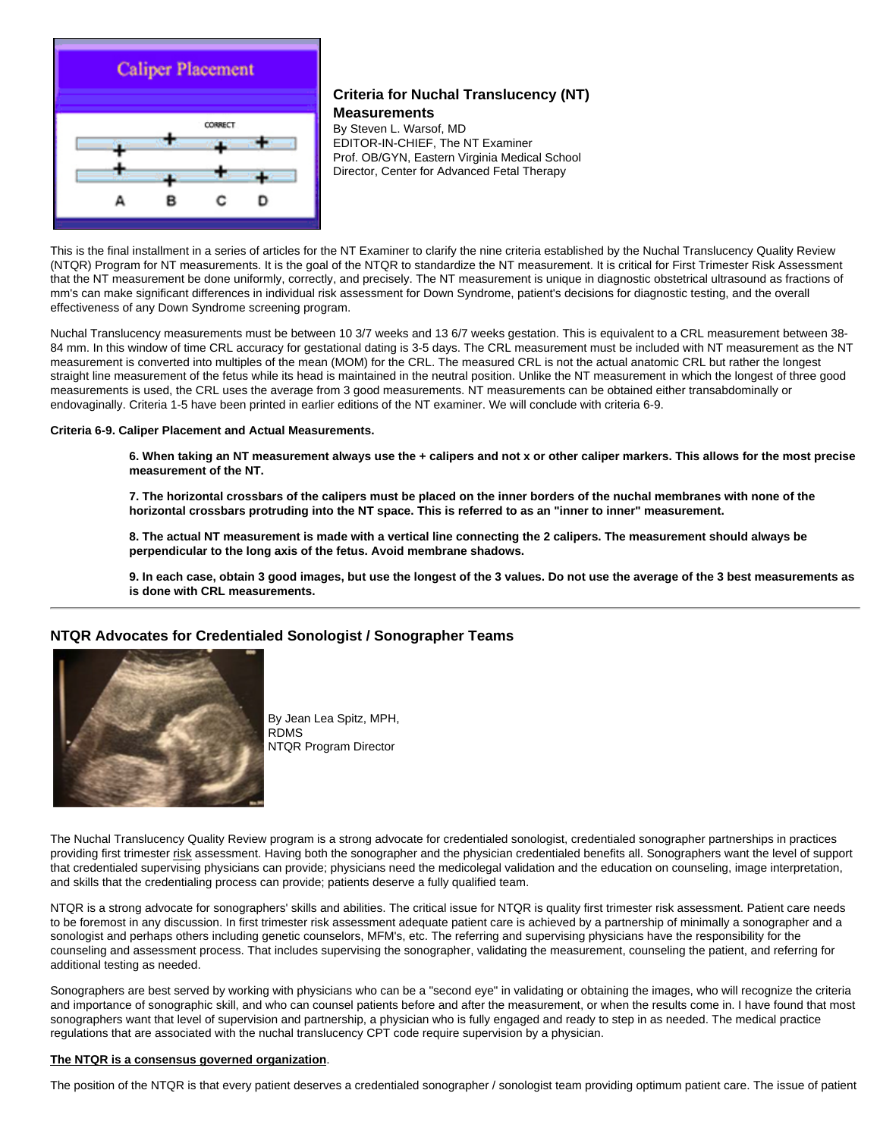

# **Criteria for Nuchal Translucency (NT) Measurements**

By Steven L. Warsof, MD EDITOR-IN-CHIEF, The NT Examiner Prof. OB/GYN, Eastern Virginia Medical School Director, Center for Advanced Fetal Therapy

This is the final installment in a series of articles for the NT Examiner to clarify the nine criteria established by the Nuchal Translucency Quality Review (NTQR) Program for NT measurements. It is the goal of the NTQR to standardize the NT measurement. It is critical for First Trimester Risk Assessment that the NT measurement be done uniformly, correctly, and precisely. The NT measurement is unique in diagnostic obstetrical ultrasound as fractions of mm's can make significant differences in individual risk assessment for Down Syndrome, patient's decisions for diagnostic testing, and the overall effectiveness of any Down Syndrome screening program.

Nuchal Translucency measurements must be between 10 3/7 weeks and 13 6/7 weeks gestation. This is equivalent to a CRL measurement between 38- 84 mm. In this window of time CRL accuracy for gestational dating is 3-5 days. The CRL measurement must be included with NT measurement as the NT measurement is converted into multiples of the mean (MOM) for the CRL. The measured CRL is not the actual anatomic CRL but rather the longest straight line measurement of the fetus while its head is maintained in the neutral position. Unlike the NT measurement in which the longest of three good measurements is used, the CRL uses the average from 3 good measurements. NT measurements can be obtained either transabdominally or endovaginally. Criteria 1-5 have been printed in earlier editions of the NT examiner. We will conclude with criteria 6-9.

#### **Criteria 6-9. Caliper Placement and Actual Measurements.**

**6. When taking an NT measurement always use the + calipers and not x or other caliper markers. This allows for the most precise measurement of the NT.** 

**7. The horizontal crossbars of the calipers must be placed on the inner borders of the nuchal membranes with none of the horizontal crossbars protruding into the NT space. This is referred to as an "inner to inner" measurement.** 

**8. The actual NT measurement is made with a vertical line connecting the 2 calipers. The measurement should always be perpendicular to the long axis of the fetus. Avoid membrane shadows.** 

**9. In each case, obtain 3 good images, but use the longest of the 3 values. Do not use the average of the 3 best measurements as is done with CRL measurements.** 

## **NTQR Advocates for Credentialed Sonologist / Sonographer Teams**



By Jean Lea Spitz, MPH, RDMS NTQR Program Director

The Nuchal Translucency Quality Review program is a strong advocate for credentialed sonologist, credentialed sonographer partnerships in practices providing first trimester risk assessment. Having both the sonographer and the physician credentialed benefits all. Sonographers want the level of support that credentialed supervising physicians can provide; physicians need the medicolegal validation and the education on counseling, image interpretation, and skills that the credentialing process can provide; patients deserve a fully qualified team.

NTQR is a strong advocate for sonographers' skills and abilities. The critical issue for NTQR is quality first trimester risk assessment. Patient care needs to be foremost in any discussion. In first trimester risk assessment adequate patient care is achieved by a partnership of minimally a sonographer and a sonologist and perhaps others including genetic counselors, MFM's, etc. The referring and supervising physicians have the responsibility for the counseling and assessment process. That includes supervising the sonographer, validating the measurement, counseling the patient, and referring for additional testing as needed.

Sonographers are best served by working with physicians who can be a "second eye" in validating or obtaining the images, who will recognize the criteria and importance of sonographic skill, and who can counsel patients before and after the measurement, or when the results come in. I have found that most sonographers want that level of supervision and partnership, a physician who is fully engaged and ready to step in as needed. The medical practice regulations that are associated with the nuchal translucency CPT code require supervision by a physician.

#### **The NTQR is a consensus governed organization**.

The position of the NTQR is that every patient deserves a credentialed sonographer / sonologist team providing optimum patient care. The issue of patient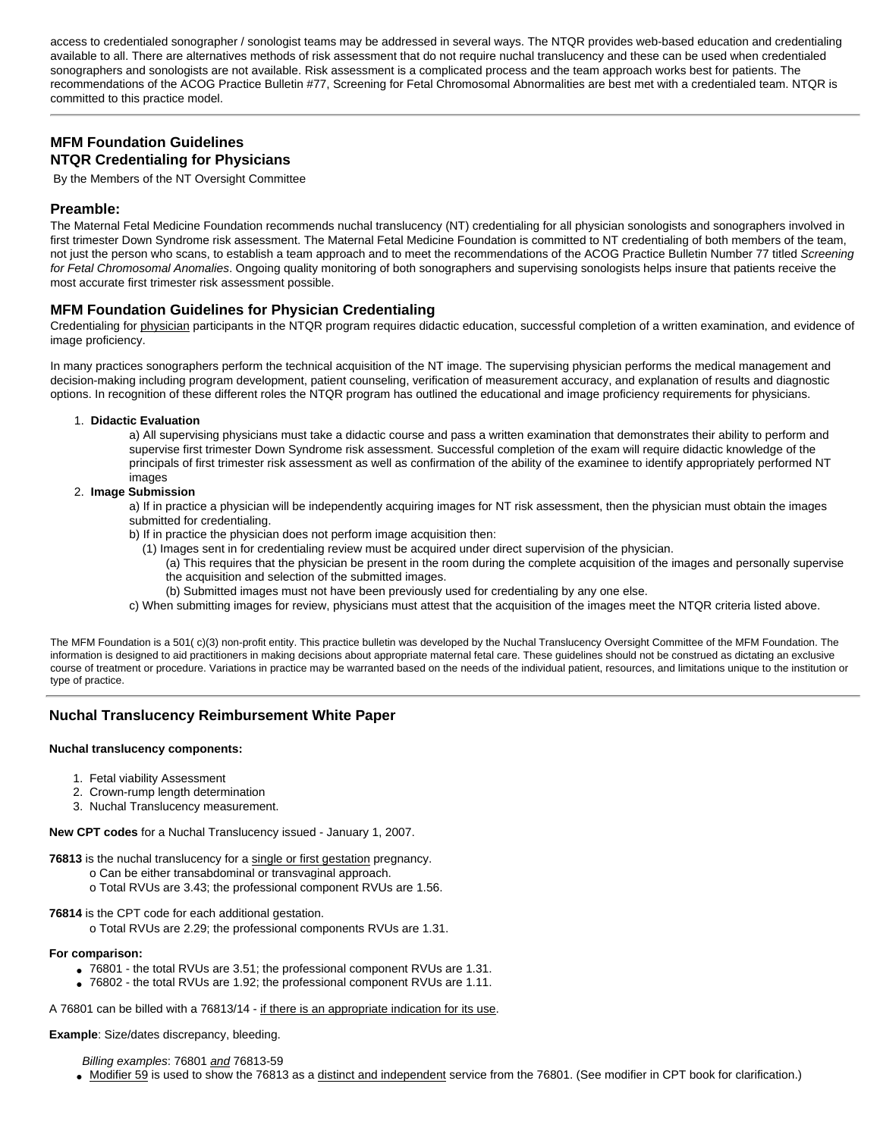access to credentialed sonographer / sonologist teams may be addressed in several ways. The NTQR provides web-based education and credentialing available to all. There are alternatives methods of risk assessment that do not require nuchal translucency and these can be used when credentialed sonographers and sonologists are not available. Risk assessment is a complicated process and the team approach works best for patients. The recommendations of the ACOG Practice Bulletin #77, Screening for Fetal Chromosomal Abnormalities are best met with a credentialed team. NTQR is committed to this practice model.

# **MFM Foundation Guidelines NTQR Credentialing for Physicians**

By the Members of the NT Oversight Committee

## **Preamble:**

The Maternal Fetal Medicine Foundation recommends nuchal translucency (NT) credentialing for all physician sonologists and sonographers involved in first trimester Down Syndrome risk assessment. The Maternal Fetal Medicine Foundation is committed to NT credentialing of both members of the team, not just the person who scans, to establish a team approach and to meet the recommendations of the ACOG Practice Bulletin Number 77 titled *Screening for Fetal Chromosomal Anomalies*. Ongoing quality monitoring of both sonographers and supervising sonologists helps insure that patients receive the most accurate first trimester risk assessment possible.

## **MFM Foundation Guidelines for Physician Credentialing**

Credentialing for physician participants in the NTQR program requires didactic education, successful completion of a written examination, and evidence of image proficiency.

In many practices sonographers perform the technical acquisition of the NT image. The supervising physician performs the medical management and decision-making including program development, patient counseling, verification of measurement accuracy, and explanation of results and diagnostic options. In recognition of these different roles the NTQR program has outlined the educational and image proficiency requirements for physicians.

#### 1. **Didactic Evaluation**

a) All supervising physicians must take a didactic course and pass a written examination that demonstrates their ability to perform and supervise first trimester Down Syndrome risk assessment. Successful completion of the exam will require didactic knowledge of the principals of first trimester risk assessment as well as confirmation of the ability of the examinee to identify appropriately performed NT images

#### 2. **Image Submission**

a) If in practice a physician will be independently acquiring images for NT risk assessment, then the physician must obtain the images submitted for credentialing.

b) If in practice the physician does not perform image acquisition then:

- (1) Images sent in for credentialing review must be acquired under direct supervision of the physician.
	- (a) This requires that the physician be present in the room during the complete acquisition of the images and personally supervise the acquisition and selection of the submitted images.
	- (b) Submitted images must not have been previously used for credentialing by any one else.

c) When submitting images for review, physicians must attest that the acquisition of the images meet the NTQR criteria listed above.

The MFM Foundation is a 501( c)(3) non-profit entity. This practice bulletin was developed by the Nuchal Translucency Oversight Committee of the MFM Foundation. The information is designed to aid practitioners in making decisions about appropriate maternal fetal care. These guidelines should not be construed as dictating an exclusive course of treatment or procedure. Variations in practice may be warranted based on the needs of the individual patient, resources, and limitations unique to the institution or type of practice.

## **Nuchal Translucency Reimbursement White Paper**

#### **Nuchal translucency components:**

- 1. Fetal viability Assessment
- 2. Crown-rump length determination
- 3. Nuchal Translucency measurement.

**New CPT codes** for a Nuchal Translucency issued - January 1, 2007.

- **76813** is the nuchal translucency for a single or first gestation pregnancy.
	- o Can be either transabdominal or transvaginal approach.
	- o Total RVUs are 3.43; the professional component RVUs are 1.56.

**76814** is the CPT code for each additional gestation.

o Total RVUs are 2.29; the professional components RVUs are 1.31.

#### **For comparison:**

- 76801 the total RVUs are 3.51; the professional component RVUs are 1.31.
- 76802 the total RVUs are 1.92; the professional component RVUs are 1.11.

A 76801 can be billed with a 76813/14 - if there is an appropriate indication for its use.

#### **Example**: Size/dates discrepancy, bleeding.

*Billing examples*: 76801 *and* 76813-59

• Modifier 59 is used to show the 76813 as a distinct and independent service from the 76801. (See modifier in CPT book for clarification.)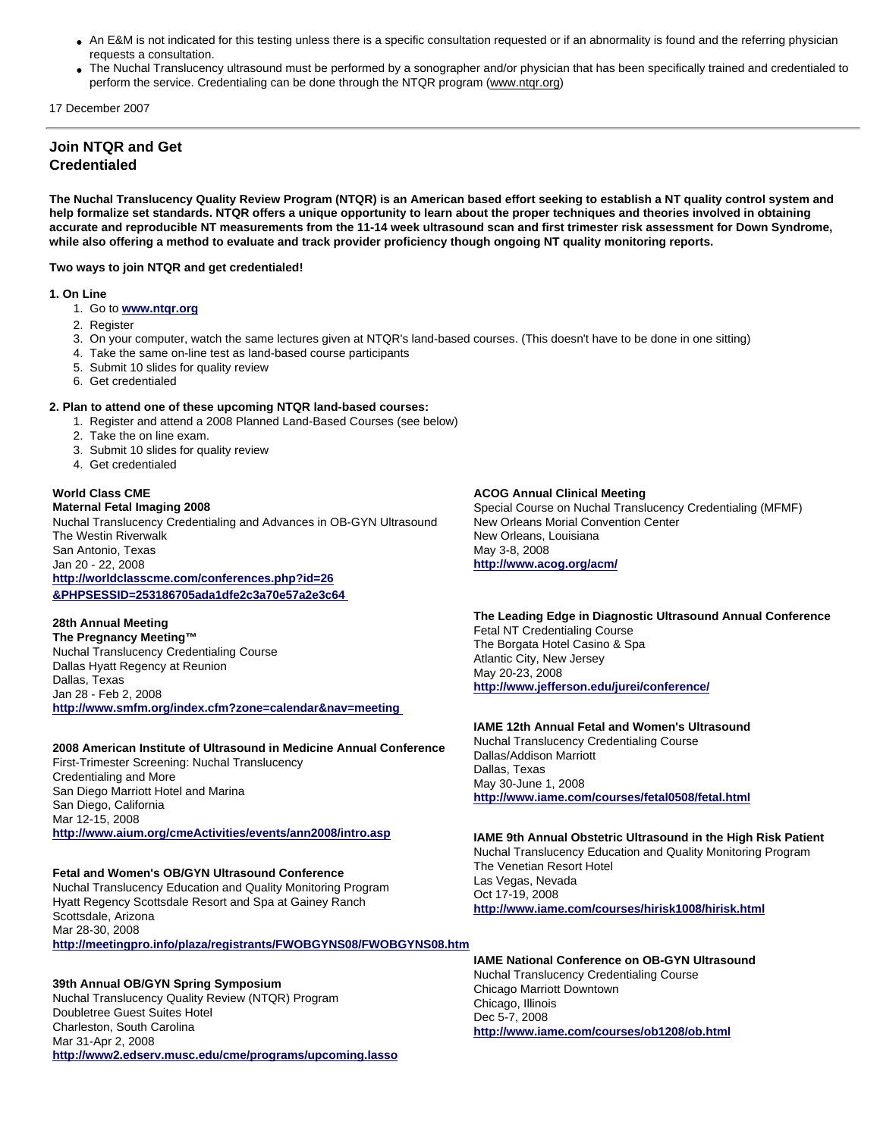- An E&M is not indicated for this testing unless there is a specific consultation requested or if an abnormality is found and the referring physician requests a consultation.
- The Nuchal Translucency ultrasound must be performed by a sonographer and/or physician that has been specifically trained and credentialed to perform the service. Credentialing can be done through the NTQR program (www.ntqr.org)

17 December 2007

# **Join NTQR and Get Credentialed**

**The Nuchal Translucency Quality Review Program (NTQR) is an American based effort seeking to establish a NT quality control system and help formalize set standards. NTQR offers a unique opportunity to learn about the proper techniques and theories involved in obtaining accurate and reproducible NT measurements from the 11-14 week ultrasound scan and first trimester risk assessment for Down Syndrome, while also offering a method to evaluate and track provider proficiency though ongoing NT quality monitoring reports.** 

#### **Two ways to join NTQR and get credentialed!**

#### **1. On Line**

- 1. Go to **[www.ntqr.org](http://www.ntqr.org/)**
- 2. Register
- 3. On your computer, watch the same lectures given at NTQR's land-based courses. (This doesn't have to be done in one sitting)
- 4. Take the same on-line test as land-based course participants
- 5. Submit 10 slides for quality review
- 6. Get credentialed

## **2. Plan to attend one of these upcoming NTQR land-based courses:**

- 1. Register and attend a 2008 Planned Land-Based Courses (see below)
- 2. Take the on line exam.
- 3. Submit 10 slides for quality review
- 4. Get credentialed

#### **World Class CME Maternal Fetal Imaging 2008**

Nuchal Translucency Credentialing and Advances in OB-GYN Ultrasound The Westin Riverwalk San Antonio, Texas Jan 20 - 22, 2008 **[http://worldclasscme.com/conferences.php?id=26](http://worldclasscme.com/conferences.php?id=26&PHPSESSID=253186705ada1dfe2c3a70e57a2e3c64) [&PHPSESSID=253186705ada1dfe2c3a70e57a2e3c64](http://worldclasscme.com/conferences.php?id=26&PHPSESSID=253186705ada1dfe2c3a70e57a2e3c64)** 

# **28th Annual Meeting**

**The Pregnancy Meeting™** Nuchal Translucency Credentialing Course Dallas Hyatt Regency at Reunion Dallas, Texas Jan 28 - Feb 2, 2008 **<http://www.smfm.org/index.cfm?zone=calendar&nav=meeting>** 

## **2008 American Institute of Ultrasound in Medicine Annual Conference**

First-Trimester Screening: Nuchal Translucency Credentialing and More San Diego Marriott Hotel and Marina San Diego, California Mar 12-15, 2008 **<http://www.aium.org/cmeActivities/events/ann2008/intro.asp>**

## **Fetal and Women's OB/GYN Ultrasound Conference**

Nuchal Translucency Education and Quality Monitoring Program Hyatt Regency Scottsdale Resort and Spa at Gainey Ranch Scottsdale, Arizona Mar 28-30, 2008

# **<http://meetingpro.info/plaza/registrants/FWOBGYNS08/FWOBGYNS08.htm>**

## **39th Annual OB/GYN Spring Symposium**

Nuchal Translucency Quality Review (NTQR) Program Doubletree Guest Suites Hotel Charleston, South Carolina Mar 31-Apr 2, 2008 **<http://www2.edserv.musc.edu/cme/programs/upcoming.lasso>**

## **ACOG Annual Clinical Meeting**

Special Course on Nuchal Translucency Credentialing (MFMF) New Orleans Morial Convention Center New Orleans, Louisiana May 3-8, 2008 **<http://www.acog.org/acm/>**

#### **The Leading Edge in Diagnostic Ultrasound Annual Conference** Fetal NT Credentialing Course The Borgata Hotel Casino & Spa Atlantic City, New Jersey

May 20-23, 2008 **<http://www.jefferson.edu/jurei/conference/>**

# **IAME 12th Annual Fetal and Women's Ultrasound**

Nuchal Translucency Credentialing Course Dallas/Addison Marriott Dallas, Texas May 30-June 1, 2008 **<http://www.iame.com/courses/fetal0508/fetal.html>**

## **IAME 9th Annual Obstetric Ultrasound in the High Risk Patient**

Nuchal Translucency Education and Quality Monitoring Program The Venetian Resort Hotel Las Vegas, Nevada Oct 17-19, 2008 **<http://www.iame.com/courses/hirisk1008/hirisk.html>**

#### **IAME National Conference on OB-GYN Ultrasound** Nuchal Translucency Credentialing Course Chicago Marriott Downtown Chicago, Illinois Dec 5-7, 2008 **<http://www.iame.com/courses/ob1208/ob.html>**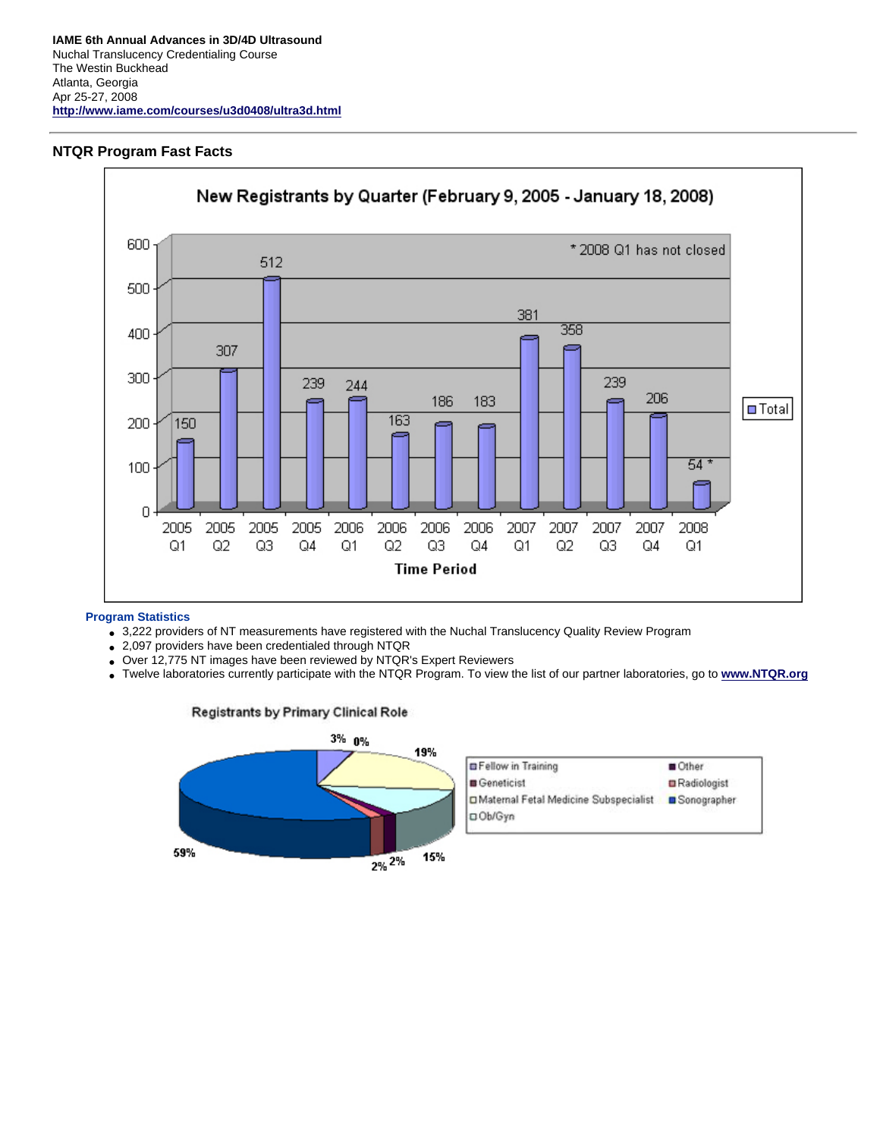# **NTQR Program Fast Facts**



## **Program Statistics**

- 3,222 providers of NT measurements have registered with the Nuchal Translucency Quality Review Program
- 2,097 providers have been credentialed through NTQR
- Over 12,775 NT images have been reviewed by NTQR's Expert Reviewers
- Twelve laboratories currently participate with the NTQR Program. To view the list of our partner laboratories, go to **[www.NTQR.org](http://www.ntqr.org/)**

## **Registrants by Primary Clinical Role**